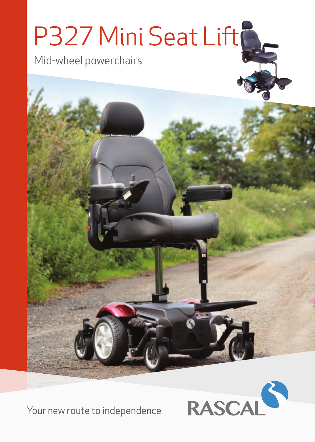# P327 Mini Seat Lift

Mid-wheel powerchairs



Your new route to independence